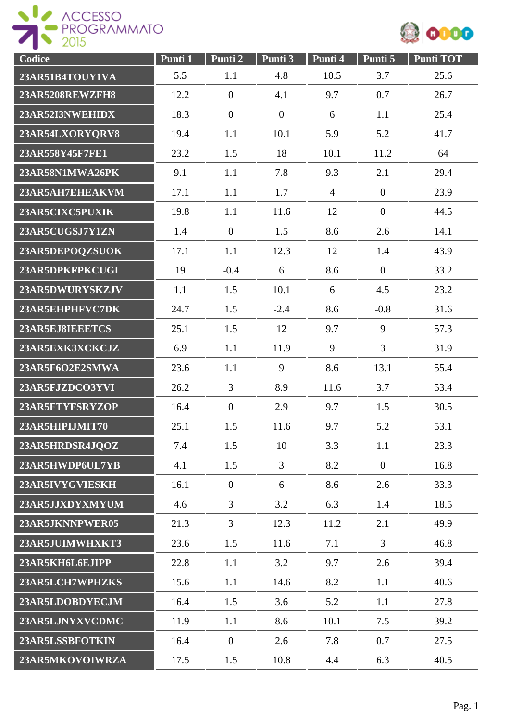



| Codice                 | Punti 1 | Punti <sub>2</sub> | Punti 3      | Punti 4        | Punti 5          | <b>Punti TOT</b> |
|------------------------|---------|--------------------|--------------|----------------|------------------|------------------|
| 23AR51B4TOUY1VA        | 5.5     | 1.1                | 4.8          | 10.5           | 3.7              | 25.6             |
| <b>23AR5208REWZFH8</b> | 12.2    | $\boldsymbol{0}$   | 4.1          | 9.7            | 0.7              | 26.7             |
| 23AR52I3NWEHIDX        | 18.3    | $\mathbf{0}$       | $\mathbf{0}$ | 6              | 1.1              | 25.4             |
| 23AR54LXORYQRV8        | 19.4    | 1.1                | 10.1         | 5.9            | 5.2              | 41.7             |
| 23AR558Y45F7FE1        | 23.2    | 1.5                | 18           | 10.1           | 11.2             | 64               |
| 23AR58N1MWA26PK        | 9.1     | 1.1                | 7.8          | 9.3            | 2.1              | 29.4             |
| 23AR5AH7EHEAKVM        | 17.1    | 1.1                | 1.7          | $\overline{4}$ | $\boldsymbol{0}$ | 23.9             |
| 23AR5CIXC5PUXIK        | 19.8    | 1.1                | 11.6         | 12             | $\overline{0}$   | 44.5             |
| 23AR5CUGSJ7Y1ZN        | 1.4     | $\overline{0}$     | 1.5          | 8.6            | 2.6              | 14.1             |
| 23AR5DEPOQZSUOK        | 17.1    | 1.1                | 12.3         | 12             | 1.4              | 43.9             |
| 23AR5DPKFPKCUGI        | 19      | $-0.4$             | 6            | 8.6            | $\boldsymbol{0}$ | 33.2             |
| 23AR5DWURYSKZJV        | 1.1     | 1.5                | 10.1         | 6              | 4.5              | 23.2             |
| 23AR5EHPHFVC7DK        | 24.7    | 1.5                | $-2.4$       | 8.6            | $-0.8$           | 31.6             |
| 23AR5EJ8IEEETCS        | 25.1    | 1.5                | 12           | 9.7            | 9                | 57.3             |
| 23AR5EXK3XCKCJZ        | 6.9     | 1.1                | 11.9         | 9              | $\overline{3}$   | 31.9             |
| 23AR5F6O2E2SMWA        | 23.6    | 1.1                | 9            | 8.6            | 13.1             | 55.4             |
| 23AR5FJZDCO3YVI        | 26.2    | 3                  | 8.9          | 11.6           | 3.7              | 53.4             |
| 23AR5FTYFSRYZOP        | 16.4    | $\boldsymbol{0}$   | 2.9          | 9.7            | 1.5              | 30.5             |
| 23AR5HIPLJMIT70        | 25.1    | 1.5                | 11.6         | 9.7            | 5.2              | 53.1             |
| 23AR5HRDSR4JQOZ        | 7.4     | 1.5                | 10           | 3.3            | 1.1              | 23.3             |
| 23AR5HWDP6UL7YB        | 4.1     | 1.5                | 3            | 8.2            | $\boldsymbol{0}$ | 16.8             |
| 23AR5IVYGVIESKH        | 16.1    | $\boldsymbol{0}$   | 6            | 8.6            | 2.6              | 33.3             |
| 23AR5JJXDYXMYUM        | 4.6     | 3                  | 3.2          | 6.3            | 1.4              | 18.5             |
| 23AR5JKNNPWER05        | 21.3    | $\overline{3}$     | 12.3         | 11.2           | 2.1              | 49.9             |
| 23AR5JUIMWHXKT3        | 23.6    | 1.5                | 11.6         | 7.1            | $\overline{3}$   | 46.8             |
| 23AR5KH6L6EJIPP        | 22.8    | 1.1                | 3.2          | 9.7            | 2.6              | 39.4             |
| 23AR5LCH7WPHZKS        | 15.6    | 1.1                | 14.6         | 8.2            | 1.1              | 40.6             |
| 23AR5LDOBDYECJM        | 16.4    | 1.5                | 3.6          | 5.2            | 1.1              | 27.8             |
| 23AR5LJNYXVCDMC        | 11.9    | 1.1                | 8.6          | 10.1           | 7.5              | 39.2             |
| 23AR5LSSBFOTKIN        | 16.4    | $\overline{0}$     | 2.6          | 7.8            | 0.7              | 27.5             |
| 23AR5MKOVOIWRZA        | 17.5    | 1.5                | 10.8         | 4.4            | 6.3              | 40.5             |